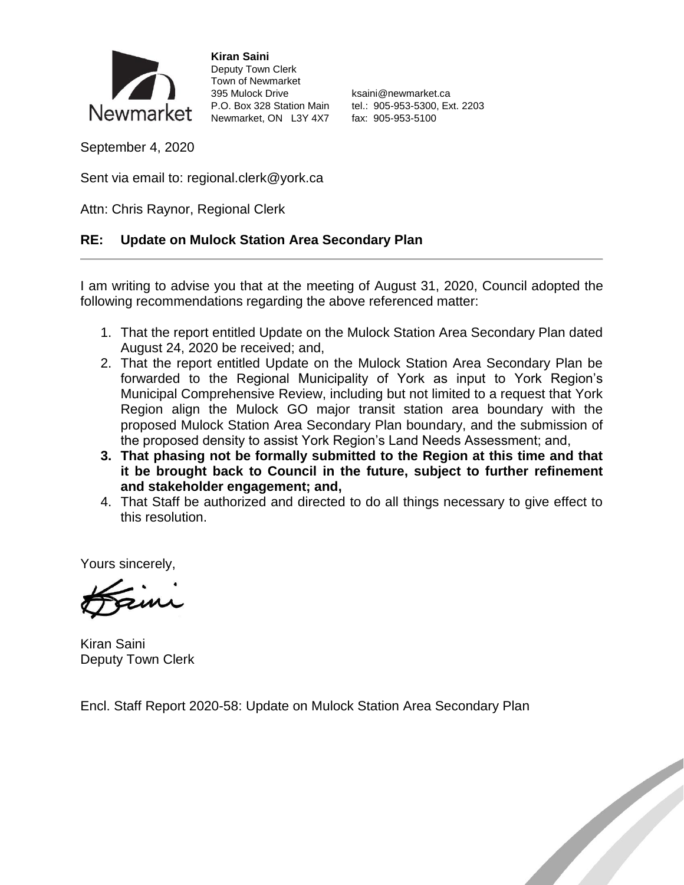

**Kiran Saini** Deputy Town Clerk Town of Newmarket 395 Mulock Drive **Ksaini@newmarket.ca** Newmarket, ON L3Y 4X7 fax: 905-953-5100

P.O. Box 328 Station Main tel.: 905-953-5300, Ext. 2203

September 4, 2020

Sent via email to: regional.clerk@york.ca

Attn: Chris Raynor, Regional Clerk

#### **RE: Update on Mulock Station Area Secondary Plan**

I am writing to advise you that at the meeting of August 31, 2020, Council adopted the following recommendations regarding the above referenced matter:

- 1. That the report entitled Update on the Mulock Station Area Secondary Plan dated August 24, 2020 be received; and,
- 2. That the report entitled Update on the Mulock Station Area Secondary Plan be forwarded to the Regional Municipality of York as input to York Region's Municipal Comprehensive Review, including but not limited to a request that York Region align the Mulock GO major transit station area boundary with the proposed Mulock Station Area Secondary Plan boundary, and the submission of the proposed density to assist York Region's Land Needs Assessment; and,
- **3. That phasing not be formally submitted to the Region at this time and that it be brought back to Council in the future, subject to further refinement and stakeholder engagement; and,**
- 4. That Staff be authorized and directed to do all things necessary to give effect to this resolution.

Yours sincerely,

Kiran Saini Deputy Town Clerk

Encl. Staff Report 2020-58: Update on Mulock Station Area Secondary Plan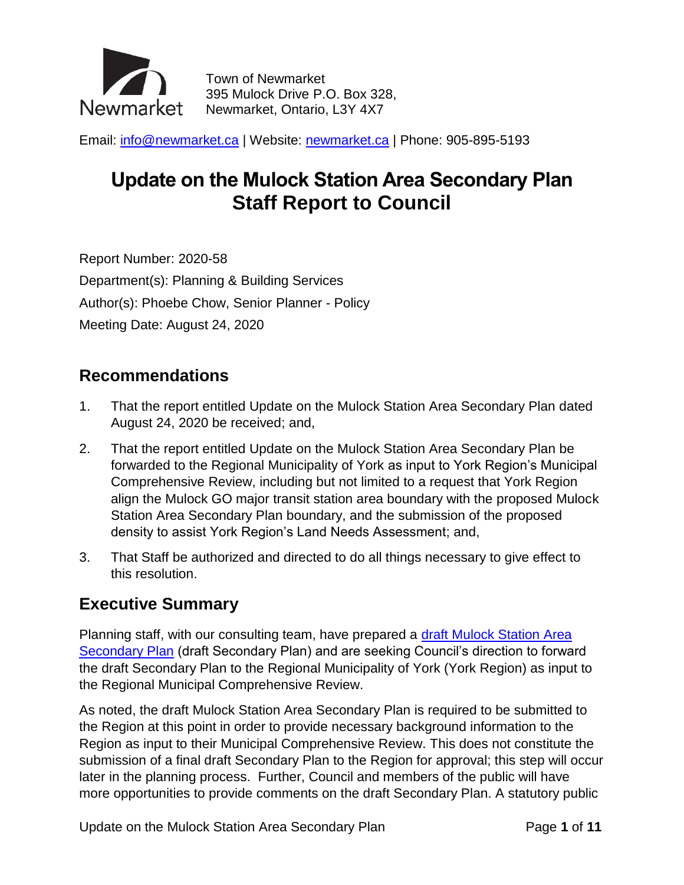

Town of Newmarket 395 Mulock Drive P.O. Box 328, Newmarket, Ontario, L3Y 4X7

Email: [info@newmarket.ca](mailto:info@newmarket.ca?subject=General%20inquiry) | Website: [newmarket.ca](http://www.newmarket.ca/) | Phone: 905-895-5193

# **Update on the Mulock Station Area Secondary Plan Staff Report to Council**

Report Number: 2020-58 Department(s): Planning & Building Services Author(s): Phoebe Chow, Senior Planner - Policy Meeting Date: August 24, 2020

### **Recommendations**

- 1. That the report entitled Update on the Mulock Station Area Secondary Plan dated August 24, 2020 be received; and,
- 2. That the report entitled Update on the Mulock Station Area Secondary Plan be forwarded to the Regional Municipality of York as input to York Region's Municipal Comprehensive Review, including but not limited to a request that York Region align the Mulock GO major transit station area boundary with the proposed Mulock Station Area Secondary Plan boundary, and the submission of the proposed density to assist York Region's Land Needs Assessment; and,
- 3. That Staff be authorized and directed to do all things necessary to give effect to this resolution.

## **Executive Summary**

Planning staff, with our consulting team, have prepared a [draft Mulock Station Area](https://www.newmarket.ca/LivingHere/PublishingImages/Pages/Planning%20and%20development/Mulock-GO-/Mulock%20Station%20Area%20Secondary%20Plan%20-%20Draft%2009.07.2020_PC.pdf)  [Secondary Plan](https://www.newmarket.ca/LivingHere/PublishingImages/Pages/Planning%20and%20development/Mulock-GO-/Mulock%20Station%20Area%20Secondary%20Plan%20-%20Draft%2009.07.2020_PC.pdf) (draft Secondary Plan) and are seeking Council's direction to forward the draft Secondary Plan to the Regional Municipality of York (York Region) as input to the Regional Municipal Comprehensive Review.

As noted, the draft Mulock Station Area Secondary Plan is required to be submitted to the Region at this point in order to provide necessary background information to the Region as input to their Municipal Comprehensive Review. This does not constitute the submission of a final draft Secondary Plan to the Region for approval; this step will occur later in the planning process. Further, Council and members of the public will have more opportunities to provide comments on the draft Secondary Plan. A statutory public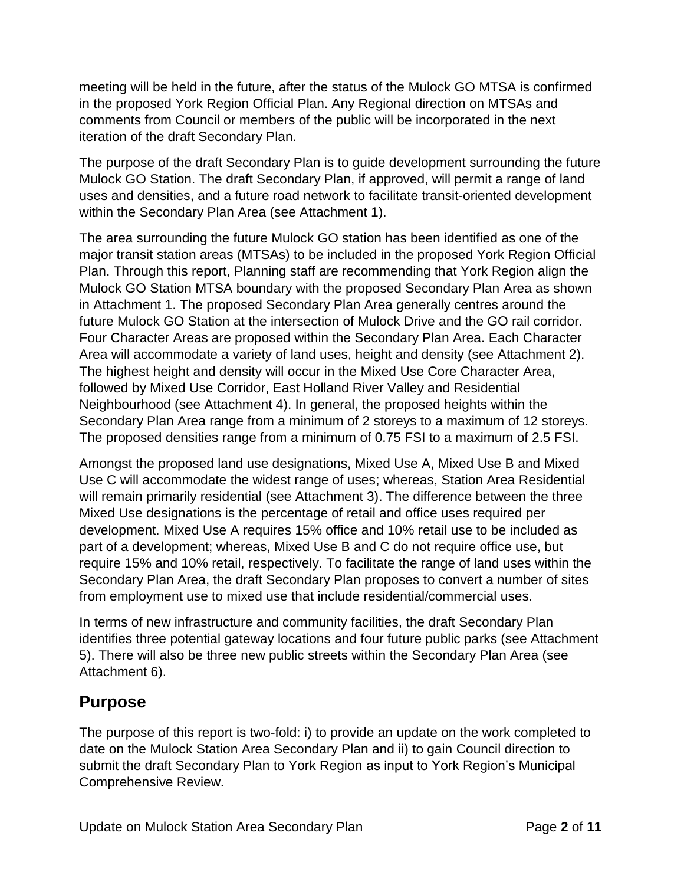meeting will be held in the future, after the status of the Mulock GO MTSA is confirmed in the proposed York Region Official Plan. Any Regional direction on MTSAs and comments from Council or members of the public will be incorporated in the next iteration of the draft Secondary Plan.

The purpose of the draft Secondary Plan is to guide development surrounding the future Mulock GO Station. The draft Secondary Plan, if approved, will permit a range of land uses and densities, and a future road network to facilitate transit-oriented development within the Secondary Plan Area (see Attachment 1).

The area surrounding the future Mulock GO station has been identified as one of the major transit station areas (MTSAs) to be included in the proposed York Region Official Plan. Through this report, Planning staff are recommending that York Region align the Mulock GO Station MTSA boundary with the proposed Secondary Plan Area as shown in Attachment 1. The proposed Secondary Plan Area generally centres around the future Mulock GO Station at the intersection of Mulock Drive and the GO rail corridor. Four Character Areas are proposed within the Secondary Plan Area. Each Character Area will accommodate a variety of land uses, height and density (see Attachment 2). The highest height and density will occur in the Mixed Use Core Character Area, followed by Mixed Use Corridor, East Holland River Valley and Residential Neighbourhood (see Attachment 4). In general, the proposed heights within the Secondary Plan Area range from a minimum of 2 storeys to a maximum of 12 storeys. The proposed densities range from a minimum of 0.75 FSI to a maximum of 2.5 FSI.

Amongst the proposed land use designations, Mixed Use A, Mixed Use B and Mixed Use C will accommodate the widest range of uses; whereas, Station Area Residential will remain primarily residential (see Attachment 3). The difference between the three Mixed Use designations is the percentage of retail and office uses required per development. Mixed Use A requires 15% office and 10% retail use to be included as part of a development; whereas, Mixed Use B and C do not require office use, but require 15% and 10% retail, respectively. To facilitate the range of land uses within the Secondary Plan Area, the draft Secondary Plan proposes to convert a number of sites from employment use to mixed use that include residential/commercial uses.

In terms of new infrastructure and community facilities, the draft Secondary Plan identifies three potential gateway locations and four future public parks (see Attachment 5). There will also be three new public streets within the Secondary Plan Area (see Attachment 6).

## **Purpose**

The purpose of this report is two-fold: i) to provide an update on the work completed to date on the Mulock Station Area Secondary Plan and ii) to gain Council direction to submit the draft Secondary Plan to York Region as input to York Region's Municipal Comprehensive Review.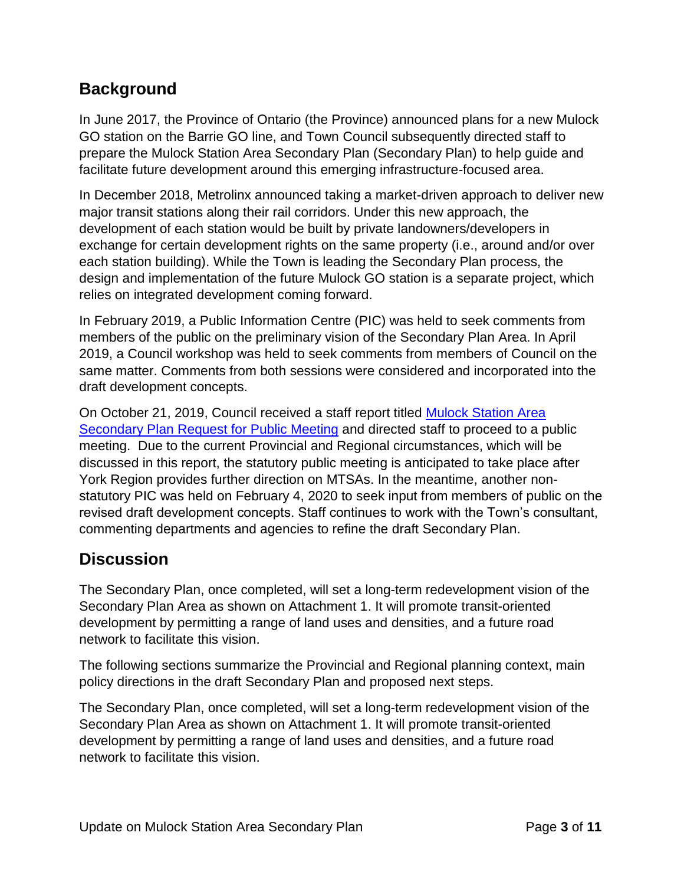## **Background**

In June 2017, the Province of Ontario (the Province) announced plans for a new Mulock GO station on the Barrie GO line, and Town Council subsequently directed staff to prepare the Mulock Station Area Secondary Plan (Secondary Plan) to help guide and facilitate future development around this emerging infrastructure-focused area.

In December 2018, Metrolinx announced taking a market-driven approach to deliver new major transit stations along their rail corridors. Under this new approach, the development of each station would be built by private landowners/developers in exchange for certain development rights on the same property (i.e., around and/or over each station building). While the Town is leading the Secondary Plan process, the design and implementation of the future Mulock GO station is a separate project, which relies on integrated development coming forward.

In February 2019, a Public Information Centre (PIC) was held to seek comments from members of the public on the preliminary vision of the Secondary Plan Area. In April 2019, a Council workshop was held to seek comments from members of Council on the same matter. Comments from both sessions were considered and incorporated into the draft development concepts.

On October 21, 2019, Council received a staff report titled [Mulock Station Area](https://pub-newmarket.escribemeetings.com/filestream.ashx?DocumentId=17086)  [Secondary Plan Request for Public Meeting](https://pub-newmarket.escribemeetings.com/filestream.ashx?DocumentId=17086) and directed staff to proceed to a public meeting. Due to the current Provincial and Regional circumstances, which will be discussed in this report, the statutory public meeting is anticipated to take place after York Region provides further direction on MTSAs. In the meantime, another nonstatutory PIC was held on February 4, 2020 to seek input from members of public on the revised draft development concepts. Staff continues to work with the Town's consultant, commenting departments and agencies to refine the draft Secondary Plan.

### **Discussion**

The Secondary Plan, once completed, will set a long-term redevelopment vision of the Secondary Plan Area as shown on Attachment 1. It will promote transit-oriented development by permitting a range of land uses and densities, and a future road network to facilitate this vision.

The following sections summarize the Provincial and Regional planning context, main policy directions in the draft Secondary Plan and proposed next steps.

The Secondary Plan, once completed, will set a long-term redevelopment vision of the Secondary Plan Area as shown on Attachment 1. It will promote transit-oriented development by permitting a range of land uses and densities, and a future road network to facilitate this vision.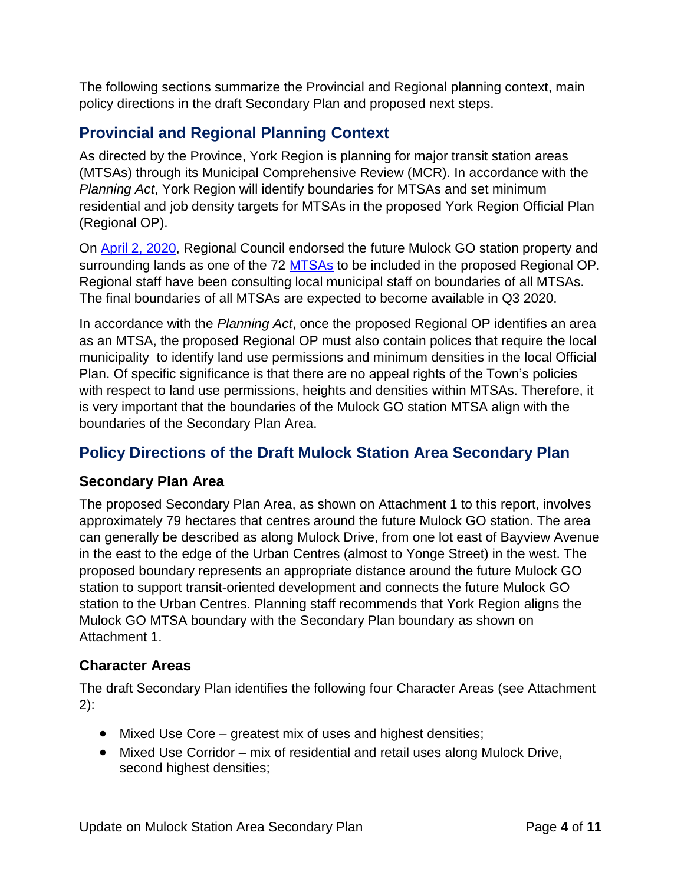The following sections summarize the Provincial and Regional planning context, main policy directions in the draft Secondary Plan and proposed next steps.

### **Provincial and Regional Planning Context**

As directed by the Province, York Region is planning for major transit station areas (MTSAs) through its Municipal Comprehensive Review (MCR). In accordance with the *Planning Act*, York Region will identify boundaries for MTSAs and set minimum residential and job density targets for MTSAs in the proposed York Region Official Plan (Regional OP).

On [April 2, 2020,](https://yorkpublishing.escribemeetings.com/filestream.ashx?DocumentId=13190) Regional Council endorsed the future Mulock GO station property and surrounding lands as one of the 72 [MTSAs](https://yorkpublishing.escribemeetings.com/filestream.ashx?DocumentId=10820) to be included in the proposed Regional OP. Regional staff have been consulting local municipal staff on boundaries of all MTSAs. The final boundaries of all MTSAs are expected to become available in Q3 2020.

In accordance with the *Planning Act*, once the proposed Regional OP identifies an area as an MTSA, the proposed Regional OP must also contain polices that require the local municipality to identify land use permissions and minimum densities in the local Official Plan. Of specific significance is that there are no appeal rights of the Town's policies with respect to land use permissions, heights and densities within MTSAs. Therefore, it is very important that the boundaries of the Mulock GO station MTSA align with the boundaries of the Secondary Plan Area.

## **Policy Directions of the Draft Mulock Station Area Secondary Plan**

#### **Secondary Plan Area**

The proposed Secondary Plan Area, as shown on Attachment 1 to this report, involves approximately 79 hectares that centres around the future Mulock GO station. The area can generally be described as along Mulock Drive, from one lot east of Bayview Avenue in the east to the edge of the Urban Centres (almost to Yonge Street) in the west. The proposed boundary represents an appropriate distance around the future Mulock GO station to support transit-oriented development and connects the future Mulock GO station to the Urban Centres. Planning staff recommends that York Region aligns the Mulock GO MTSA boundary with the Secondary Plan boundary as shown on Attachment 1.

#### **Character Areas**

The draft Secondary Plan identifies the following four Character Areas (see Attachment 2):

- Mixed Use Core greatest mix of uses and highest densities;
- Mixed Use Corridor mix of residential and retail uses along Mulock Drive, second highest densities;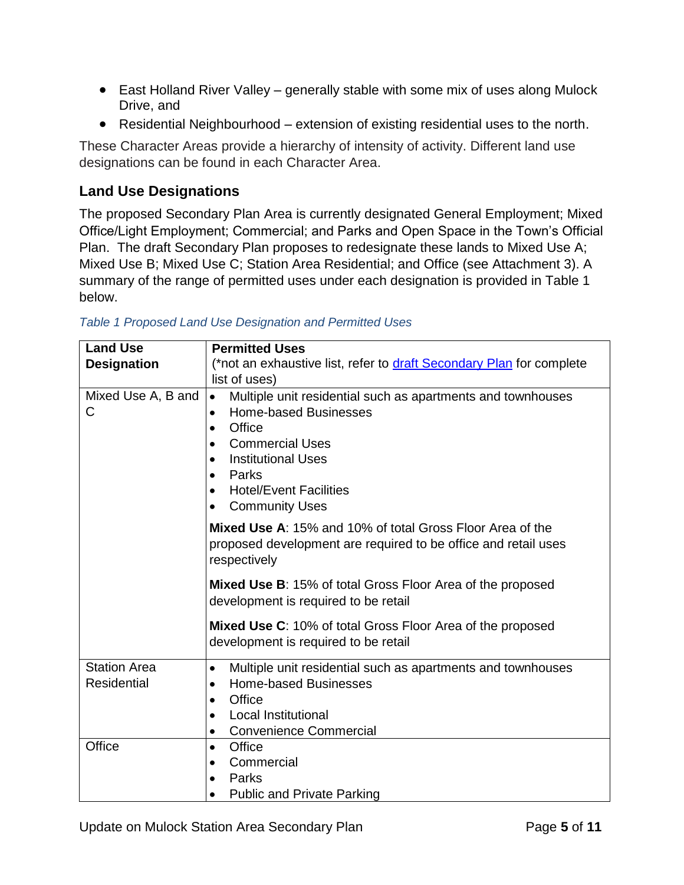- East Holland River Valley generally stable with some mix of uses along Mulock Drive, and
- Residential Neighbourhood extension of existing residential uses to the north.

These Character Areas provide a hierarchy of intensity of activity. Different land use designations can be found in each Character Area.

#### **Land Use Designations**

The proposed Secondary Plan Area is currently designated General Employment; Mixed Office/Light Employment; Commercial; and Parks and Open Space in the Town's Official Plan. The draft Secondary Plan proposes to redesignate these lands to Mixed Use A; Mixed Use B; Mixed Use C; Station Area Residential; and Office (see Attachment 3). A summary of the range of permitted uses under each designation is provided in Table 1 below.

| <b>Land Use</b>                           | <b>Permitted Uses</b>                                                                                                                                                                                                                                                                                         |
|-------------------------------------------|---------------------------------------------------------------------------------------------------------------------------------------------------------------------------------------------------------------------------------------------------------------------------------------------------------------|
| <b>Designation</b>                        | (*not an exhaustive list, refer to draft Secondary Plan for complete                                                                                                                                                                                                                                          |
|                                           | list of uses)                                                                                                                                                                                                                                                                                                 |
| Mixed Use A, B and<br>С                   | Multiple unit residential such as apartments and townhouses<br>$\bullet$<br><b>Home-based Businesses</b><br>$\bullet$<br>Office<br>$\bullet$<br><b>Commercial Uses</b><br><b>Institutional Uses</b><br>$\bullet$<br>Parks<br>$\bullet$<br><b>Hotel/Event Facilities</b><br>$\bullet$<br><b>Community Uses</b> |
|                                           | <b>Mixed Use A: 15% and 10% of total Gross Floor Area of the</b><br>proposed development are required to be office and retail uses<br>respectively                                                                                                                                                            |
|                                           | <b>Mixed Use B:</b> 15% of total Gross Floor Area of the proposed<br>development is required to be retail                                                                                                                                                                                                     |
|                                           | Mixed Use C: 10% of total Gross Floor Area of the proposed<br>development is required to be retail                                                                                                                                                                                                            |
| <b>Station Area</b><br><b>Residential</b> | Multiple unit residential such as apartments and townhouses<br>$\bullet$<br><b>Home-based Businesses</b><br>$\bullet$<br>Office<br>$\bullet$<br><b>Local Institutional</b><br>$\bullet$<br><b>Convenience Commercial</b><br>$\bullet$                                                                         |
| Office                                    | Office<br>٠<br>Commercial<br>Parks<br><b>Public and Private Parking</b>                                                                                                                                                                                                                                       |

*Table 1 Proposed Land Use Designation and Permitted Uses*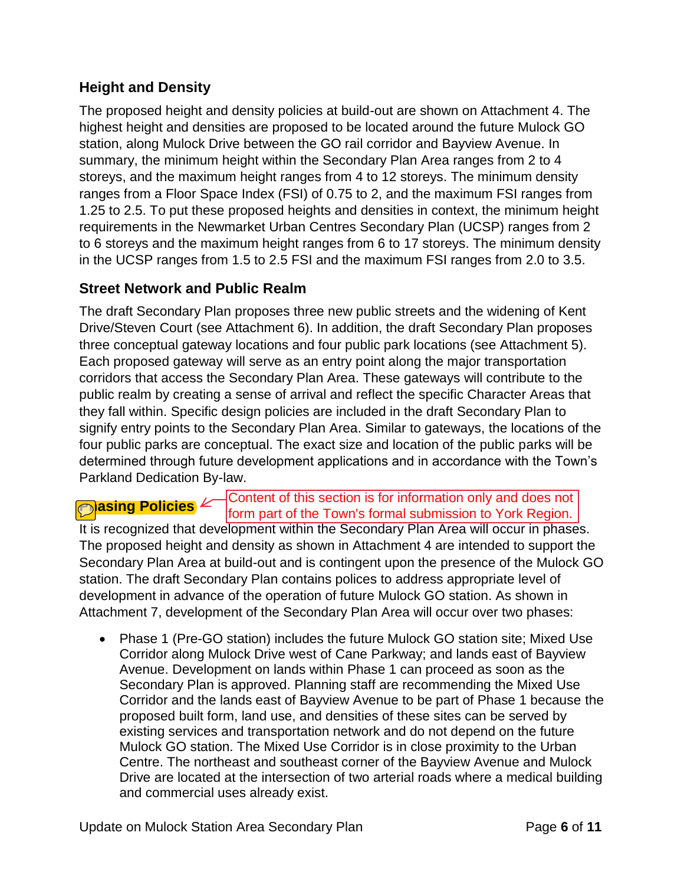#### **Height and Density**

The proposed height and density policies at build-out are shown on Attachment 4. The highest height and densities are proposed to be located around the future Mulock GO station, along Mulock Drive between the GO rail corridor and Bayview Avenue. In summary, the minimum height within the Secondary Plan Area ranges from 2 to 4 storeys, and the maximum height ranges from 4 to 12 storeys. The minimum density ranges from a Floor Space Index (FSI) of 0.75 to 2, and the maximum FSI ranges from 1.25 to 2.5. To put these proposed heights and densities in context, the minimum height requirements in the Newmarket Urban Centres Secondary Plan (UCSP) ranges from 2 to 6 storeys and the maximum height ranges from 6 to 17 storeys. The minimum density in the UCSP ranges from 1.5 to 2.5 FSI and the maximum FSI ranges from 2.0 to 3.5.

#### **Street Network and Public Realm**

The draft Secondary Plan proposes three new public streets and the widening of Kent Drive/Steven Court (see Attachment 6). In addition, the draft Secondary Plan proposes three conceptual gateway locations and four public park locations (see Attachment 5). Each proposed gateway will serve as an entry point along the major transportation corridors that access the Secondary Plan Area. These gateways will contribute to the public realm by creating a sense of arrival and reflect the specific Character Areas that they fall within. Specific design policies are included in the draft Secondary Plan to signify entry points to the Secondary Plan Area. Similar to gateways, the locations of the four public parks are conceptual. The exact size and location of the public parks will be determined through future development applications and in accordance with the Town's Parkland Dedication By-law.

# **Policies**  $\angle$

Content of this section is for information only and does not form part of the Town's formal submission to York Region.

It is recognized that development within the Secondary Plan Area will occur in phases. The proposed height and density as shown in Attachment 4 are intended to support the Secondary Plan Area at build-out and is contingent upon the presence of the Mulock GO station. The draft Secondary Plan contains polices to address appropriate level of development in advance of the operation of future Mulock GO station. As shown in Attachment 7, development of the Secondary Plan Area will occur over two phases:

 Phase 1 (Pre-GO station) includes the future Mulock GO station site; Mixed Use Corridor along Mulock Drive west of Cane Parkway; and lands east of Bayview Avenue. Development on lands within Phase 1 can proceed as soon as the Secondary Plan is approved. Planning staff are recommending the Mixed Use Corridor and the lands east of Bayview Avenue to be part of Phase 1 because the proposed built form, land use, and densities of these sites can be served by existing services and transportation network and do not depend on the future Mulock GO station. The Mixed Use Corridor is in close proximity to the Urban Centre. The northeast and southeast corner of the Bayview Avenue and Mulock Drive are located at the intersection of two arterial roads where a medical building and commercial uses already exist.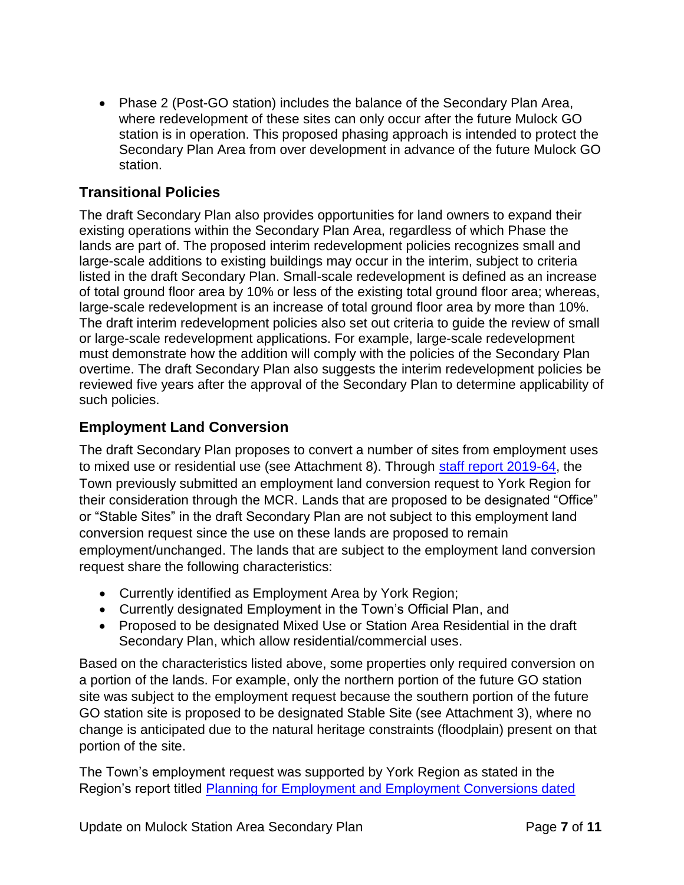• Phase 2 (Post-GO station) includes the balance of the Secondary Plan Area, where redevelopment of these sites can only occur after the future Mulock GO station is in operation. This proposed phasing approach is intended to protect the Secondary Plan Area from over development in advance of the future Mulock GO station.

#### **Transitional Policies**

The draft Secondary Plan also provides opportunities for land owners to expand their existing operations within the Secondary Plan Area, regardless of which Phase the lands are part of. The proposed interim redevelopment policies recognizes small and large-scale additions to existing buildings may occur in the interim, subject to criteria listed in the draft Secondary Plan. Small-scale redevelopment is defined as an increase of total ground floor area by 10% or less of the existing total ground floor area; whereas, large-scale redevelopment is an increase of total ground floor area by more than 10%. The draft interim redevelopment policies also set out criteria to guide the review of small or large-scale redevelopment applications. For example, large-scale redevelopment must demonstrate how the addition will comply with the policies of the Secondary Plan overtime. The draft Secondary Plan also suggests the interim redevelopment policies be reviewed five years after the approval of the Secondary Plan to determine applicability of such policies.

#### **Employment Land Conversion**

The draft Secondary Plan proposes to convert a number of sites from employment uses to mixed use or residential use (see Attachment 8). Through [staff report 2019-64,](https://pub-newmarket.escribemeetings.com/filestream.ashx?DocumentId=15091) the Town previously submitted an employment land conversion request to York Region for their consideration through the MCR. Lands that are proposed to be designated "Office" or "Stable Sites" in the draft Secondary Plan are not subject to this employment land conversion request since the use on these lands are proposed to remain employment/unchanged. The lands that are subject to the employment land conversion request share the following characteristics:

- Currently identified as Employment Area by York Region;
- Currently designated Employment in the Town's Official Plan, and
- Proposed to be designated Mixed Use or Station Area Residential in the draft Secondary Plan, which allow residential/commercial uses.

Based on the characteristics listed above, some properties only required conversion on a portion of the lands. For example, only the northern portion of the future GO station site was subject to the employment request because the southern portion of the future GO station site is proposed to be designated Stable Site (see Attachment 3), where no change is anticipated due to the natural heritage constraints (floodplain) present on that portion of the site.

The Town's employment request was supported by York Region as stated in the Region's report titled [Planning for Employment and Employment Conversions dated](https://yorkpublishing.escribemeetings.com/filestream.ashx?DocumentId=10812)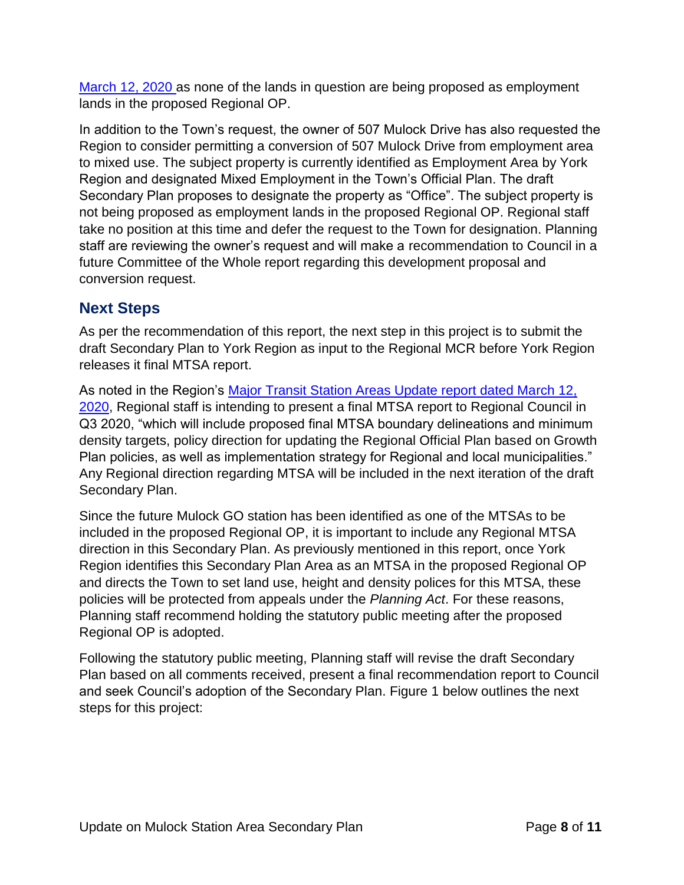[March 12, 2020](https://yorkpublishing.escribemeetings.com/filestream.ashx?DocumentId=10812) as none of the lands in question are being proposed as employment lands in the proposed Regional OP.

In addition to the Town's request, the owner of 507 Mulock Drive has also requested the Region to consider permitting a conversion of 507 Mulock Drive from employment area to mixed use. The subject property is currently identified as Employment Area by York Region and designated Mixed Employment in the Town's Official Plan. The draft Secondary Plan proposes to designate the property as "Office". The subject property is not being proposed as employment lands in the proposed Regional OP. Regional staff take no position at this time and defer the request to the Town for designation. Planning staff are reviewing the owner's request and will make a recommendation to Council in a future Committee of the Whole report regarding this development proposal and conversion request.

### **Next Steps**

As per the recommendation of this report, the next step in this project is to submit the draft Secondary Plan to York Region as input to the Regional MCR before York Region releases it final MTSA report.

As noted in the Region's [Major Transit Station Areas Update report dated March 12,](https://yorkpublishing.escribemeetings.com/filestream.ashx?DocumentId=10818)  [2020,](https://yorkpublishing.escribemeetings.com/filestream.ashx?DocumentId=10818) Regional staff is intending to present a final MTSA report to Regional Council in Q3 2020, "which will include proposed final MTSA boundary delineations and minimum density targets, policy direction for updating the Regional Official Plan based on Growth Plan policies, as well as implementation strategy for Regional and local municipalities." Any Regional direction regarding MTSA will be included in the next iteration of the draft Secondary Plan.

Since the future Mulock GO station has been identified as one of the MTSAs to be included in the proposed Regional OP, it is important to include any Regional MTSA direction in this Secondary Plan. As previously mentioned in this report, once York Region identifies this Secondary Plan Area as an MTSA in the proposed Regional OP and directs the Town to set land use, height and density polices for this MTSA, these policies will be protected from appeals under the *Planning Act*. For these reasons, Planning staff recommend holding the statutory public meeting after the proposed Regional OP is adopted.

Following the statutory public meeting, Planning staff will revise the draft Secondary Plan based on all comments received, present a final recommendation report to Council and seek Council's adoption of the Secondary Plan. Figure 1 below outlines the next steps for this project: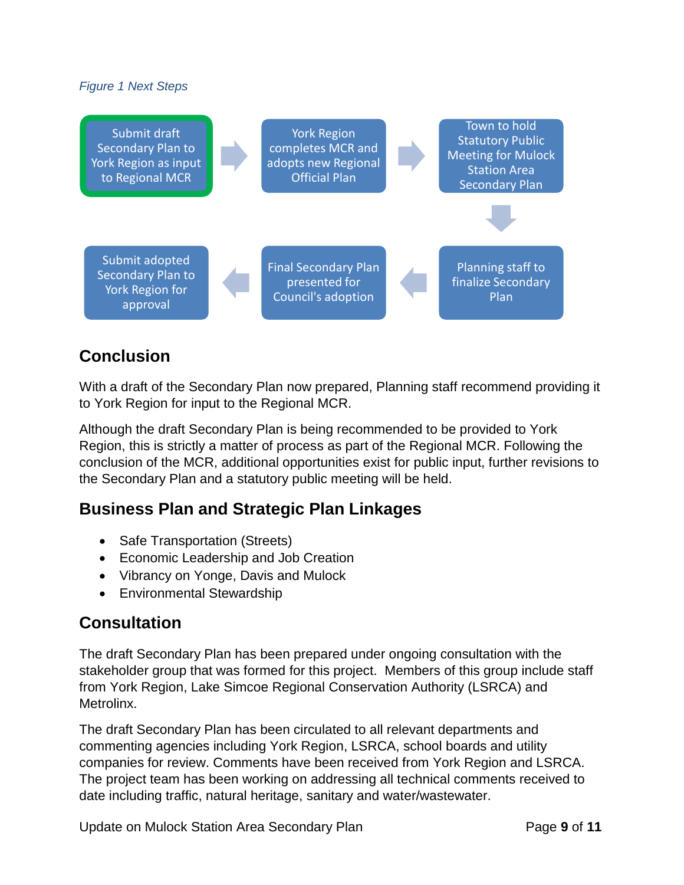#### *Figure 1 Next Steps*



## **Conclusion**

With a draft of the Secondary Plan now prepared, Planning staff recommend providing it to York Region for input to the Regional MCR.

Although the draft Secondary Plan is being recommended to be provided to York Region, this is strictly a matter of process as part of the Regional MCR. Following the conclusion of the MCR, additional opportunities exist for public input, further revisions to the Secondary Plan and a statutory public meeting will be held.

### **Business Plan and Strategic Plan Linkages**

- Safe Transportation (Streets)
- Economic Leadership and Job Creation
- Vibrancy on Yonge, Davis and Mulock
- Environmental Stewardship

### **Consultation**

The draft Secondary Plan has been prepared under ongoing consultation with the stakeholder group that was formed for this project. Members of this group include staff from York Region, Lake Simcoe Regional Conservation Authority (LSRCA) and **Metrolinx** 

The draft Secondary Plan has been circulated to all relevant departments and commenting agencies including York Region, LSRCA, school boards and utility companies for review. Comments have been received from York Region and LSRCA. The project team has been working on addressing all technical comments received to date including traffic, natural heritage, sanitary and water/wastewater.

Update on Mulock Station Area Secondary Plan Page **9** of **11**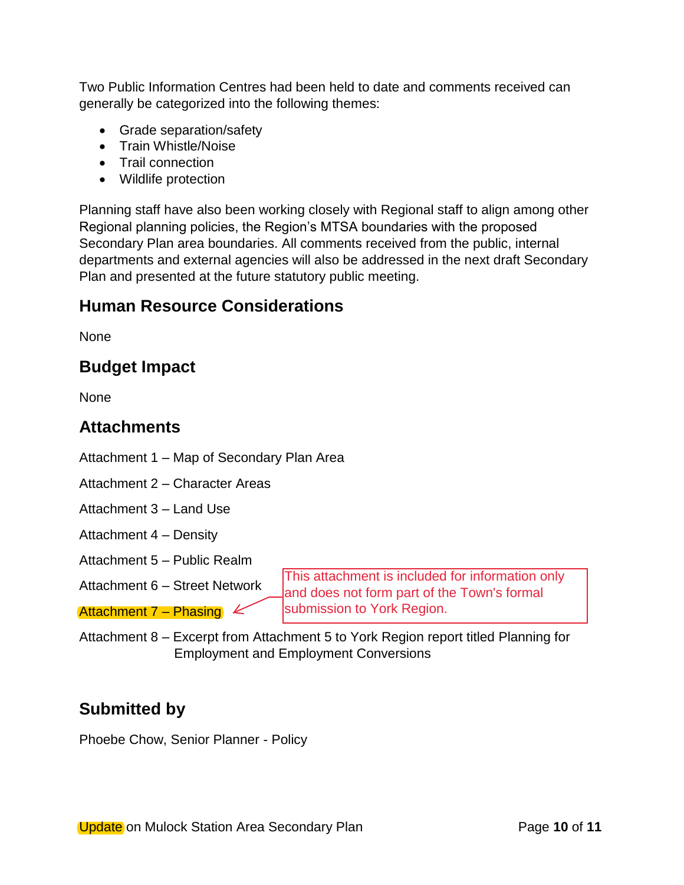Two Public Information Centres had been held to date and comments received can generally be categorized into the following themes:

- Grade separation/safety
- Train Whistle/Noise
- Trail connection
- Wildlife protection

Planning staff have also been working closely with Regional staff to align among other Regional planning policies, the Region's MTSA boundaries with the proposed Secondary Plan area boundaries. All comments received from the public, internal departments and external agencies will also be addressed in the next draft Secondary Plan and presented at the future statutory public meeting.

## **Human Resource Considerations**

**None** 

## **Budget Impact**

None

### **Attachments**

Attachment 1 – Map of Secondary Plan Area

Attachment 2 – Character Areas

Attachment 3 – Land Use

- Attachment 4 Density
- Attachment 5 Public Realm
- Attachment 6 Street Network

Attachment  $7$  – Phasing  $\&$ 

This attachment is included for information only and does not form part of the Town's formal submission to York Region.

Attachment 8 – Excerpt from Attachment 5 to York Region report titled Planning for Employment and Employment Conversions

## **Submitted by**

Phoebe Chow, Senior Planner - Policy